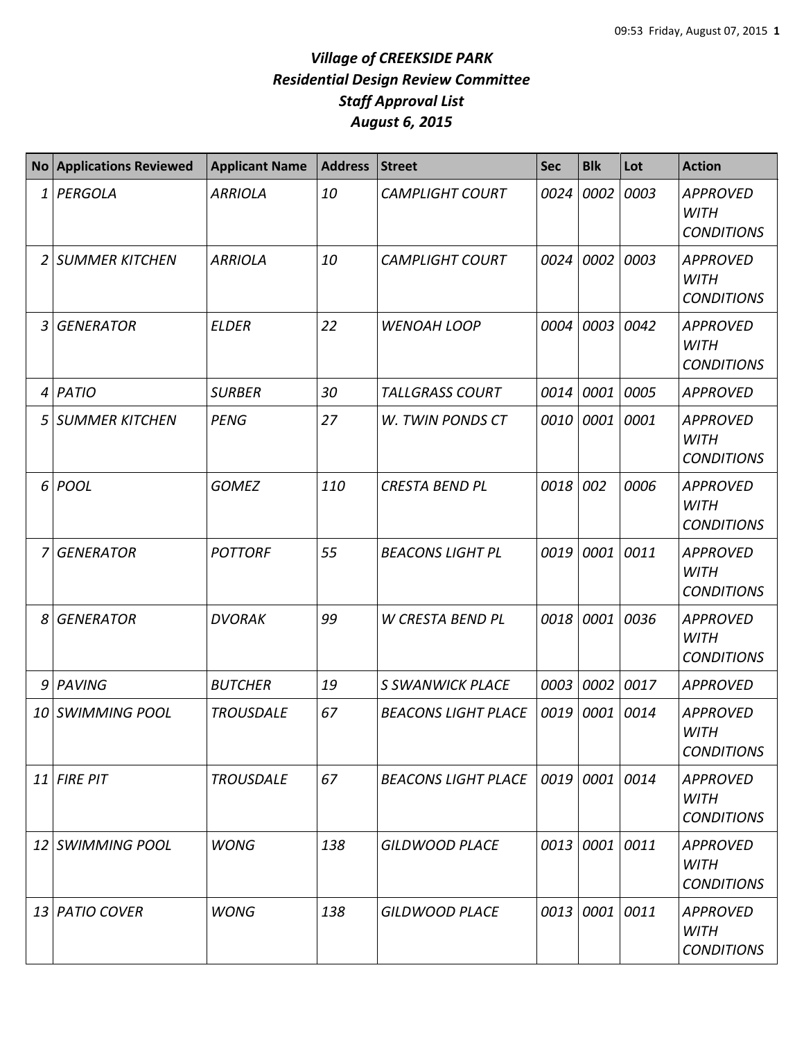|   | <b>No Applications Reviewed</b> | <b>Applicant Name</b> | <b>Address</b> | <b>Street</b>              | <b>Sec</b> | <b>Blk</b>     | Lot  | <b>Action</b>                                       |
|---|---------------------------------|-----------------------|----------------|----------------------------|------------|----------------|------|-----------------------------------------------------|
| 1 | PERGOLA                         | <b>ARRIOLA</b>        | 10             | <b>CAMPLIGHT COURT</b>     | 0024       | 0002           | 0003 | <b>APPROVED</b><br><b>WITH</b><br><b>CONDITIONS</b> |
| 2 | SUMMER KITCHEN                  | <b>ARRIOLA</b>        | 10             | <b>CAMPLIGHT COURT</b>     | 0024       | 0002           | 0003 | <b>APPROVED</b><br><b>WITH</b><br><b>CONDITIONS</b> |
| 3 | <b>GENERATOR</b>                | <b>ELDER</b>          | 22             | <b>WENOAH LOOP</b>         | 0004       | 0003           | 0042 | <b>APPROVED</b><br><b>WITH</b><br><b>CONDITIONS</b> |
| 4 | <b>PATIO</b>                    | <b>SURBER</b>         | 30             | <b>TALLGRASS COURT</b>     | 0014       | 0001           | 0005 | <b>APPROVED</b>                                     |
| 5 | <b>SUMMER KITCHEN</b>           | <b>PENG</b>           | 27             | W. TWIN PONDS CT           | 0010       | 0001           | 0001 | <b>APPROVED</b><br><b>WITH</b><br><b>CONDITIONS</b> |
| 6 | <b>POOL</b>                     | <b>GOMEZ</b>          | 110            | <b>CRESTA BEND PL</b>      | 0018       | 002            | 0006 | <b>APPROVED</b><br><b>WITH</b><br><b>CONDITIONS</b> |
| 7 | <b>GENERATOR</b>                | <b>POTTORF</b>        | 55             | <b>BEACONS LIGHT PL</b>    | 0019       | 0001           | 0011 | <b>APPROVED</b><br><b>WITH</b><br><b>CONDITIONS</b> |
| 8 | <b>GENERATOR</b>                | <b>DVORAK</b>         | 99             | <b>W CRESTA BEND PL</b>    | 0018       | 0001           | 0036 | <b>APPROVED</b><br><b>WITH</b><br><b>CONDITIONS</b> |
| 9 | PAVING                          | <b>BUTCHER</b>        | 19             | <b>S SWANWICK PLACE</b>    | 0003       | 0002           | 0017 | <b>APPROVED</b>                                     |
|   | 10 SWIMMING POOL                | <b>TROUSDALE</b>      | 67             | <b>BEACONS LIGHT PLACE</b> | 0019       | 0001           | 0014 | <b>APPROVED</b><br><b>WITH</b><br><b>CONDITIONS</b> |
|   | 11 FIRE PIT                     | <b>TROUSDALE</b>      | 67             | <b>BEACONS LIGHT PLACE</b> |            | 0019 0001 0014 |      | <b>APPROVED</b><br><b>WITH</b><br><b>CONDITIONS</b> |
|   | 12 SWIMMING POOL                | <b>WONG</b>           | 138            | <b>GILDWOOD PLACE</b>      |            | 0013 0001      | 0011 | <b>APPROVED</b><br><b>WITH</b><br><b>CONDITIONS</b> |
|   | 13 PATIO COVER                  | <b>WONG</b>           | 138            | <b>GILDWOOD PLACE</b>      |            | 0013 0001      | 0011 | <b>APPROVED</b><br><b>WITH</b><br><b>CONDITIONS</b> |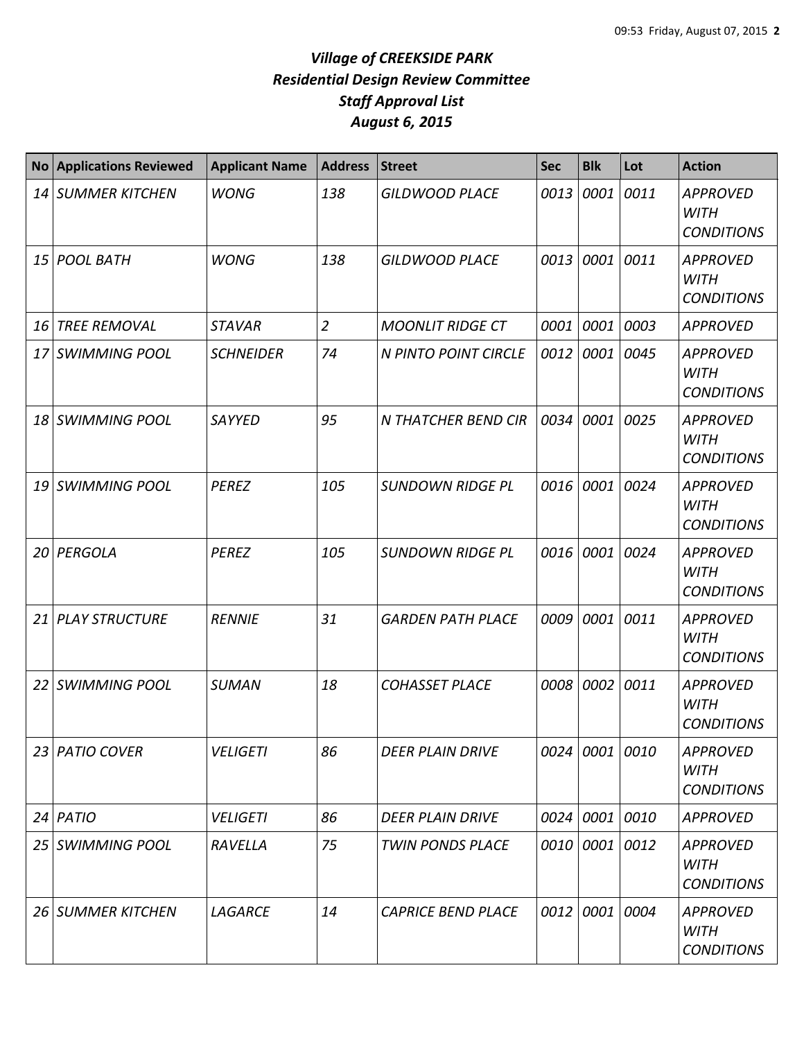| <b>No</b>       | <b>Applications Reviewed</b> | <b>Applicant Name</b> | <b>Address</b> | <b>Street</b>             | <b>Sec</b> | <b>Blk</b>     | Lot  | <b>Action</b>                                       |
|-----------------|------------------------------|-----------------------|----------------|---------------------------|------------|----------------|------|-----------------------------------------------------|
| 14 I            | <b>SUMMER KITCHEN</b>        | <b>WONG</b>           | 138            | <b>GILDWOOD PLACE</b>     | 0013       | 0001 0011      |      | <b>APPROVED</b><br><b>WITH</b><br><b>CONDITIONS</b> |
| 15 <sup>1</sup> | <b>POOL BATH</b>             | <b>WONG</b>           | 138            | <b>GILDWOOD PLACE</b>     | 0013       | 0001 0011      |      | <b>APPROVED</b><br><b>WITH</b><br><b>CONDITIONS</b> |
| 16              | <b>TREE REMOVAL</b>          | <b>STAVAR</b>         | $\overline{2}$ | <b>MOONLIT RIDGE CT</b>   | 0001       | 0001           | 0003 | <b>APPROVED</b>                                     |
| 17              | <b>SWIMMING POOL</b>         | <b>SCHNEIDER</b>      | 74             | N PINTO POINT CIRCLE      | 0012       | 0001           | 0045 | <b>APPROVED</b><br><b>WITH</b><br><b>CONDITIONS</b> |
| 18              | <b>SWIMMING POOL</b>         | SAYYED                | 95             | N THATCHER BEND CIR       | 0034       | 0001           | 0025 | <b>APPROVED</b><br><b>WITH</b><br><b>CONDITIONS</b> |
| 19              | <b>SWIMMING POOL</b>         | <b>PEREZ</b>          | 105            | <b>SUNDOWN RIDGE PL</b>   | 0016       | 0001           | 0024 | <b>APPROVED</b><br><b>WITH</b><br><b>CONDITIONS</b> |
| 20              | PERGOLA                      | <b>PEREZ</b>          | 105            | <b>SUNDOWN RIDGE PL</b>   | 0016       | 0001 0024      |      | <b>APPROVED</b><br><b>WITH</b><br><b>CONDITIONS</b> |
| 21              | <b>PLAY STRUCTURE</b>        | <b>RENNIE</b>         | 31             | <b>GARDEN PATH PLACE</b>  | 0009       | 0001 0011      |      | <b>APPROVED</b><br><b>WITH</b><br><b>CONDITIONS</b> |
| 22              | <b>SWIMMING POOL</b>         | <b>SUMAN</b>          | 18             | <b>COHASSET PLACE</b>     | 0008       | 0002           | 0011 | <b>APPROVED</b><br><b>WITH</b><br><b>CONDITIONS</b> |
|                 | 23 PATIO COVER               | <b>VELIGETI</b>       | 86             | <b>DEER PLAIN DRIVE</b>   |            | 0024 0001 0010 |      | <b>APPROVED</b><br><b>WITH</b><br><b>CONDITIONS</b> |
|                 | $24$ PATIO                   | <b>VELIGETI</b>       | 86             | <b>DEER PLAIN DRIVE</b>   |            | 0024 0001 0010 |      | <b>APPROVED</b>                                     |
|                 | 25 SWIMMING POOL             | RAVELLA               | 75             | <b>TWIN PONDS PLACE</b>   |            | 0010 0001 0012 |      | <b>APPROVED</b><br><b>WITH</b><br><b>CONDITIONS</b> |
|                 | 26 SUMMER KITCHEN            | LAGARCE               | 14             | <b>CAPRICE BEND PLACE</b> | 0012       | 0001 0004      |      | <b>APPROVED</b><br><b>WITH</b><br><b>CONDITIONS</b> |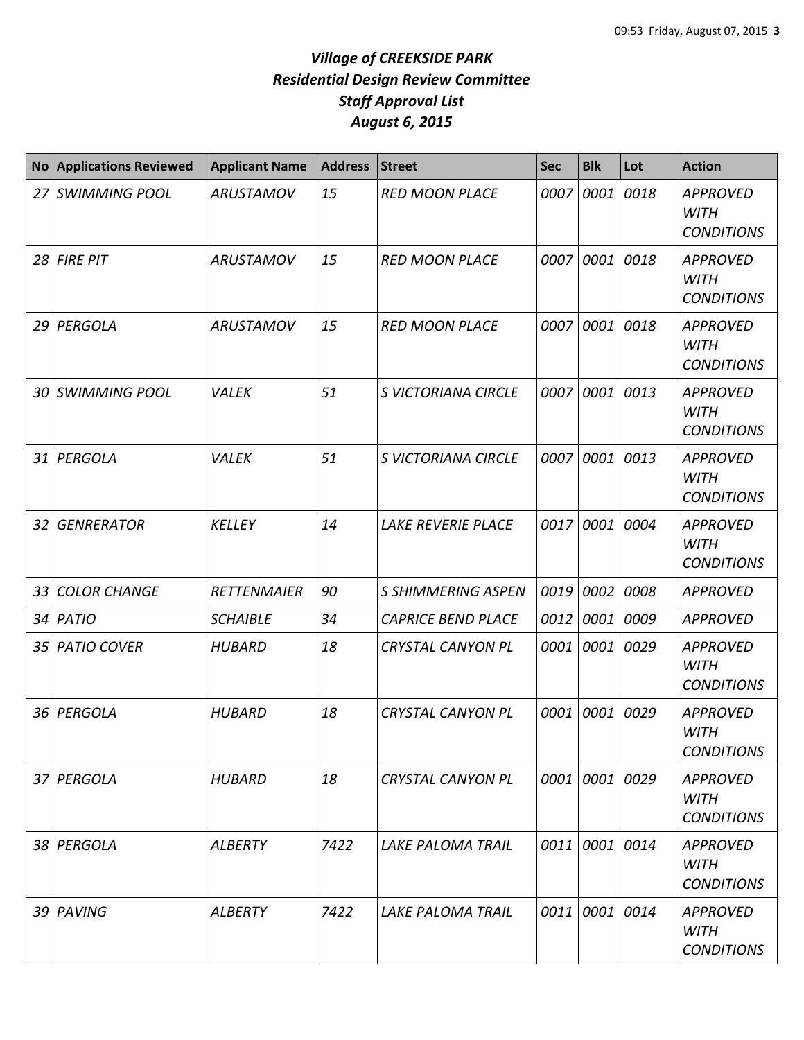| <b>No</b> | <b>Applications Reviewed</b> | <b>Applicant Name</b> | <b>Address</b> | <b>Street</b>             | <b>Sec</b> | <b>Blk</b>  | Lot       | <b>Action</b>                                       |
|-----------|------------------------------|-----------------------|----------------|---------------------------|------------|-------------|-----------|-----------------------------------------------------|
|           | 27 SWIMMING POOL             | ARUSTAMOV             | 15             | <b>RED MOON PLACE</b>     | 0007       | 0001        | 0018      | <b>APPROVED</b><br><b>WITH</b><br><b>CONDITIONS</b> |
|           | $28$ FIRE PIT                | <b>ARUSTAMOV</b>      | 15             | <b>RED MOON PLACE</b>     | 0007       |             | 0001 0018 | <b>APPROVED</b><br><b>WITH</b><br><b>CONDITIONS</b> |
|           | 29 PERGOLA                   | <b>ARUSTAMOV</b>      | 15             | <b>RED MOON PLACE</b>     | 0007       | 0001        | 0018      | <b>APPROVED</b><br><b>WITH</b><br><b>CONDITIONS</b> |
|           | 30 SWIMMING POOL             | <b>VALEK</b>          | 51             | S VICTORIANA CIRCLE       | 0007       | 0001        | 0013      | <b>APPROVED</b><br><b>WITH</b><br><b>CONDITIONS</b> |
|           | 31 PERGOLA                   | VALEK                 | 51             | S VICTORIANA CIRCLE       | 0007       | 0001        | 0013      | <b>APPROVED</b><br><b>WITH</b><br><b>CONDITIONS</b> |
| 32 I      | <b>GENRERATOR</b>            | <b>KELLEY</b>         | 14             | <b>LAKE REVERIE PLACE</b> | 0017       | 0001        | 0004      | <b>APPROVED</b><br><b>WITH</b><br><b>CONDITIONS</b> |
| 33        | <b>COLOR CHANGE</b>          | <b>RETTENMAIER</b>    | 90             | <b>S SHIMMERING ASPEN</b> | 0019       | 0002        | 0008      | <b>APPROVED</b>                                     |
|           | 34 PATIO                     | <b>SCHAIBLE</b>       | 34             | <b>CAPRICE BEND PLACE</b> | 0012       | 0001 0009   |           | <b>APPROVED</b>                                     |
|           | 35   PATIO COVER             | <b>HUBARD</b>         | 18             | <b>CRYSTAL CANYON PL</b>  | 0001       | 0001 0029   |           | <b>APPROVED</b><br><b>WITH</b><br><b>CONDITIONS</b> |
|           | 36 PERGOLA                   | <b>HUBARD</b>         | 18             | <b>CRYSTAL CANYON PL</b>  | 0001       | 0001        | 0029      | <b>APPROVED</b><br><b>WITH</b><br><b>CONDITIONS</b> |
|           | 37 PERGOLA                   | <b>HUBARD</b>         | 18             | <b>CRYSTAL CANYON PL</b>  | 0001       | $0001$ 0029 |           | <b>APPROVED</b><br><b>WITH</b><br><b>CONDITIONS</b> |
|           | 38 PERGOLA                   | <b>ALBERTY</b>        | 7422           | <b>LAKE PALOMA TRAIL</b>  | 0011       | 0001 0014   |           | <b>APPROVED</b><br><b>WITH</b><br><b>CONDITIONS</b> |
|           | 39 PAVING                    | <b>ALBERTY</b>        | 7422           | <b>LAKE PALOMA TRAIL</b>  | 0011       | 0001 0014   |           | <b>APPROVED</b><br><b>WITH</b><br><b>CONDITIONS</b> |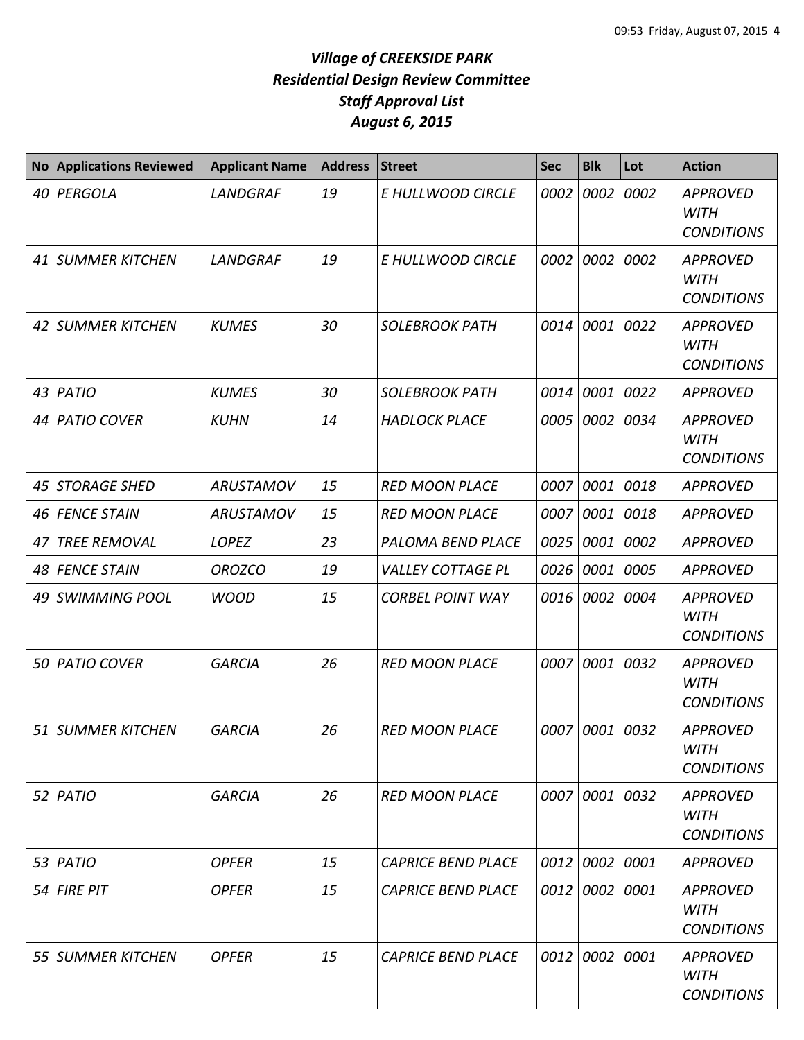| <b>No</b> | <b>Applications Reviewed</b> | <b>Applicant Name</b> | <b>Address</b> | <b>Street</b>             | <b>Sec</b> | <b>Blk</b> | Lot  | <b>Action</b>                                       |
|-----------|------------------------------|-----------------------|----------------|---------------------------|------------|------------|------|-----------------------------------------------------|
| 40        | PERGOLA                      | <b>LANDGRAF</b>       | 19             | E HULLWOOD CIRCLE         | 0002       | 0002       | 0002 | <b>APPROVED</b><br><b>WITH</b><br><b>CONDITIONS</b> |
| 41        | <b>SUMMER KITCHEN</b>        | <b>LANDGRAF</b>       | 19             | E HULLWOOD CIRCLE         | 0002       | 0002       | 0002 | <b>APPROVED</b><br><b>WITH</b><br><b>CONDITIONS</b> |
| 42        | <b>SUMMER KITCHEN</b>        | <b>KUMES</b>          | 30             | <b>SOLEBROOK PATH</b>     | 0014       | 0001       | 0022 | <b>APPROVED</b><br><b>WITH</b><br><b>CONDITIONS</b> |
| 43        | PATIO                        | <b>KUMES</b>          | 30             | <b>SOLEBROOK PATH</b>     | 0014       | 0001       | 0022 | <b>APPROVED</b>                                     |
| 44        | <b>PATIO COVER</b>           | <b>KUHN</b>           | 14             | <b>HADLOCK PLACE</b>      | 0005       | 0002       | 0034 | <b>APPROVED</b><br><b>WITH</b><br><b>CONDITIONS</b> |
| 45        | <b>STORAGE SHED</b>          | <b>ARUSTAMOV</b>      | 15             | <b>RED MOON PLACE</b>     | 0007       | 0001       | 0018 | <b>APPROVED</b>                                     |
| 46        | <b>FENCE STAIN</b>           | <b>ARUSTAMOV</b>      | 15             | <b>RED MOON PLACE</b>     | 0007       | 0001       | 0018 | <b>APPROVED</b>                                     |
| 47        | <b>TREE REMOVAL</b>          | <b>LOPEZ</b>          | 23             | PALOMA BEND PLACE         | 0025       | 0001       | 0002 | <b>APPROVED</b>                                     |
| 48        | <b>FENCE STAIN</b>           | <b>OROZCO</b>         | 19             | <b>VALLEY COTTAGE PL</b>  | 0026       | 0001       | 0005 | <b>APPROVED</b>                                     |
| 49        | <b>SWIMMING POOL</b>         | <b>WOOD</b>           | 15             | <b>CORBEL POINT WAY</b>   | 0016       | 0002       | 0004 | <b>APPROVED</b><br><b>WITH</b><br><b>CONDITIONS</b> |
| 50        | <b>PATIO COVER</b>           | <b>GARCIA</b>         | 26             | <b>RED MOON PLACE</b>     | 0007       | 0001       | 0032 | <b>APPROVED</b><br><b>WITH</b><br><b>CONDITIONS</b> |
|           | 51 SUMMER KITCHEN            | <b>GARCIA</b>         | 26             | <b>RED MOON PLACE</b>     | 0007       | 0001 0032  |      | <b>APPROVED</b><br><b>WITH</b><br><b>CONDITIONS</b> |
|           | 52 PATIO                     | <b>GARCIA</b>         | 26             | <b>RED MOON PLACE</b>     | 0007       | 0001 0032  |      | <b>APPROVED</b><br><b>WITH</b><br><b>CONDITIONS</b> |
| 53        | PATIO                        | <b>OPFER</b>          | 15             | <b>CAPRICE BEND PLACE</b> | 0012       | 0002 0001  |      | <b>APPROVED</b>                                     |
| 54 I      | <b>FIRE PIT</b>              | <b>OPFER</b>          | 15             | <b>CAPRICE BEND PLACE</b> | 0012       | 0002 0001  |      | <b>APPROVED</b><br>WITH<br><b>CONDITIONS</b>        |
| 55 I      | <b>SUMMER KITCHEN</b>        | <b>OPFER</b>          | 15             | <b>CAPRICE BEND PLACE</b> | 0012       | 0002 0001  |      | <b>APPROVED</b><br><b>WITH</b><br><b>CONDITIONS</b> |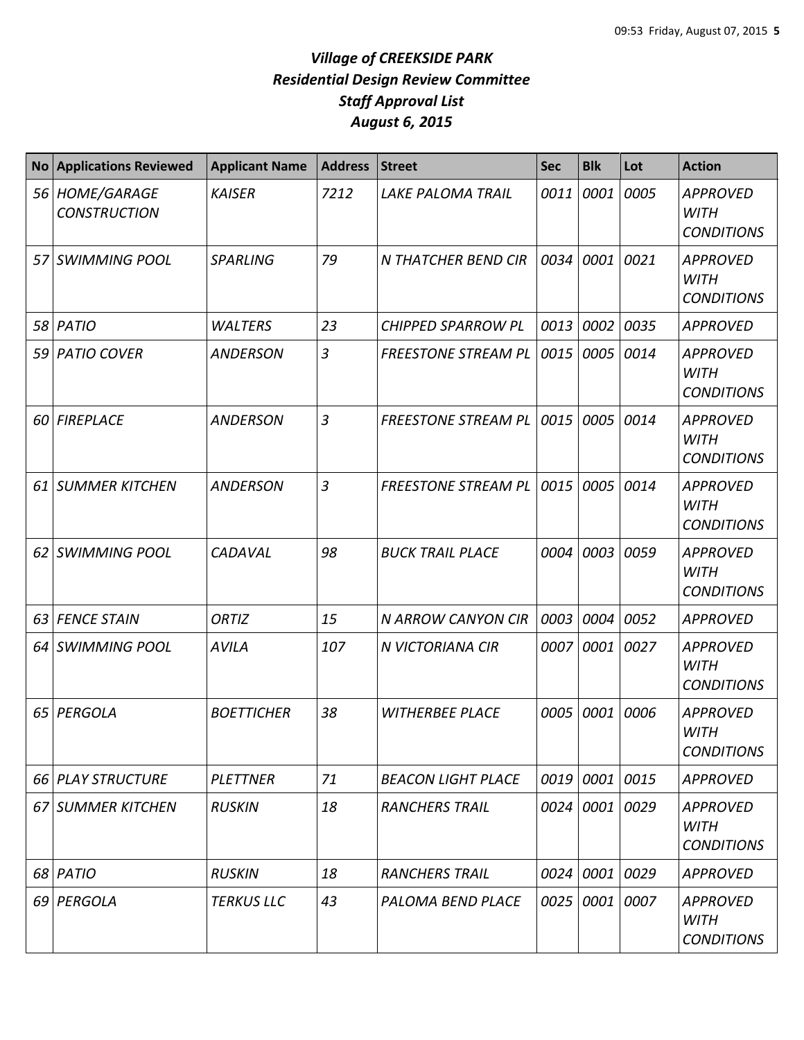| <b>No</b> | <b>Applications Reviewed</b>          | <b>Applicant Name</b> | <b>Address</b> | <b>Street</b>              | <b>Sec</b> | <b>Blk</b>     | Lot  | <b>Action</b>                                       |
|-----------|---------------------------------------|-----------------------|----------------|----------------------------|------------|----------------|------|-----------------------------------------------------|
|           | 56 HOME/GARAGE<br><b>CONSTRUCTION</b> | <b>KAISER</b>         | 7212           | <b>LAKE PALOMA TRAIL</b>   | 0011       | 0001           | 0005 | <b>APPROVED</b><br><b>WITH</b><br><b>CONDITIONS</b> |
|           | 57 SWIMMING POOL                      | <b>SPARLING</b>       | 79             | N THATCHER BEND CIR        | 0034       | 0001           | 0021 | <b>APPROVED</b><br><b>WITH</b><br><b>CONDITIONS</b> |
| 58        | <b>PATIO</b>                          | <b>WALTERS</b>        | 23             | CHIPPED SPARROW PL         | 0013       | 0002           | 0035 | <b>APPROVED</b>                                     |
| 59        | <b>PATIO COVER</b>                    | <b>ANDERSON</b>       | $\overline{3}$ | <b>FREESTONE STREAM PL</b> | 0015       | 0005           | 0014 | <b>APPROVED</b><br><b>WITH</b><br><b>CONDITIONS</b> |
| 60 I      | <b>FIREPLACE</b>                      | <b>ANDERSON</b>       | $\overline{3}$ | <b>FREESTONE STREAM PL</b> | 0015       | 0005           | 0014 | <b>APPROVED</b><br><b>WITH</b><br><b>CONDITIONS</b> |
| 61        | <b>SUMMER KITCHEN</b>                 | <b>ANDERSON</b>       | 3              | <b>FREESTONE STREAM PL</b> | 0015       | 0005           | 0014 | <b>APPROVED</b><br><b>WITH</b><br><b>CONDITIONS</b> |
| 62        | <b>SWIMMING POOL</b>                  | CADAVAL               | 98             | <b>BUCK TRAIL PLACE</b>    | 0004       | 0003           | 0059 | <b>APPROVED</b><br><b>WITH</b><br><b>CONDITIONS</b> |
| 63        | <b>FENCE STAIN</b>                    | <b>ORTIZ</b>          | 15             | N ARROW CANYON CIR         | 0003       | 0004           | 0052 | <b>APPROVED</b>                                     |
| 64        | <b>SWIMMING POOL</b>                  | <b>AVILA</b>          | 107            | N VICTORIANA CIR           | 0007       | 0001           | 0027 | <b>APPROVED</b><br><b>WITH</b><br><b>CONDITIONS</b> |
| 65        | PERGOLA                               | <b>BOETTICHER</b>     | 38             | <b>WITHERBEE PLACE</b>     | 0005       | 0001           | 0006 | <b>APPROVED</b><br><b>WITH</b><br><b>CONDITIONS</b> |
| 66 I      | <b>PLAY STRUCTURE</b>                 | <b>PLETTNER</b>       | 71             | <b>BEACON LIGHT PLACE</b>  |            | 0019 0001 0015 |      | <b>APPROVED</b>                                     |
|           | 67 SUMMER KITCHEN                     | <b>RUSKIN</b>         | 18             | <b>RANCHERS TRAIL</b>      | 0024       | 0001           | 0029 | <b>APPROVED</b><br><b>WITH</b><br><b>CONDITIONS</b> |
| 68        | PATIO                                 | <b>RUSKIN</b>         | 18             | <b>RANCHERS TRAIL</b>      | 0024       | 0001           | 0029 | <b>APPROVED</b>                                     |
| 69        | PERGOLA                               | <b>TERKUS LLC</b>     | 43             | PALOMA BEND PLACE          | 0025       | 0001           | 0007 | <b>APPROVED</b><br><b>WITH</b><br><b>CONDITIONS</b> |